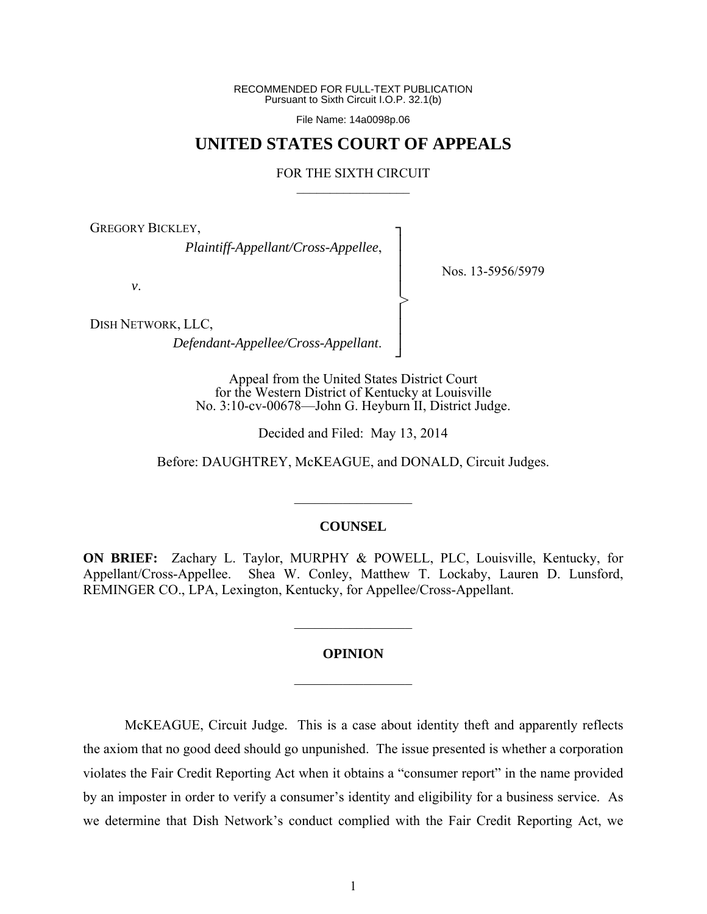RECOMMENDED FOR FULL-TEXT PUBLICATION Pursuant to Sixth Circuit I.O.P. 32.1(b)

File Name: 14a0098p.06

# **UNITED STATES COURT OF APPEALS**

#### FOR THE SIXTH CIRCUIT  $\mathcal{L}_\text{max}$

┐ │ │ │ │ │ │ │ ┘

>

GREGORY BICKLEY,

*Plaintiff-Appellant/Cross-Appellee*,

*v*.

Nos. 13-5956/5979

DISH NETWORK, LLC,

*Defendant-Appellee/Cross-Appellant*.

Appeal from the United States District Court for the Western District of Kentucky at Louisville No. 3:10-cv-00678—John G. Heyburn II, District Judge.

Decided and Filed: May 13, 2014

Before: DAUGHTREY, McKEAGUE, and DONALD, Circuit Judges.

### **COUNSEL**

 $\mathcal{L}_\text{max}$ 

**ON BRIEF:** Zachary L. Taylor, MURPHY & POWELL, PLC, Louisville, Kentucky, for Appellant/Cross-Appellee. Shea W. Conley, Matthew T. Lockaby, Lauren D. Lunsford, REMINGER CO., LPA, Lexington, Kentucky, for Appellee/Cross-Appellant.

### **OPINION**

 $\frac{1}{2}$ 

 $\frac{1}{2}$ 

 McKEAGUE, Circuit Judge. This is a case about identity theft and apparently reflects the axiom that no good deed should go unpunished. The issue presented is whether a corporation violates the Fair Credit Reporting Act when it obtains a "consumer report" in the name provided by an imposter in order to verify a consumer's identity and eligibility for a business service. As we determine that Dish Network's conduct complied with the Fair Credit Reporting Act, we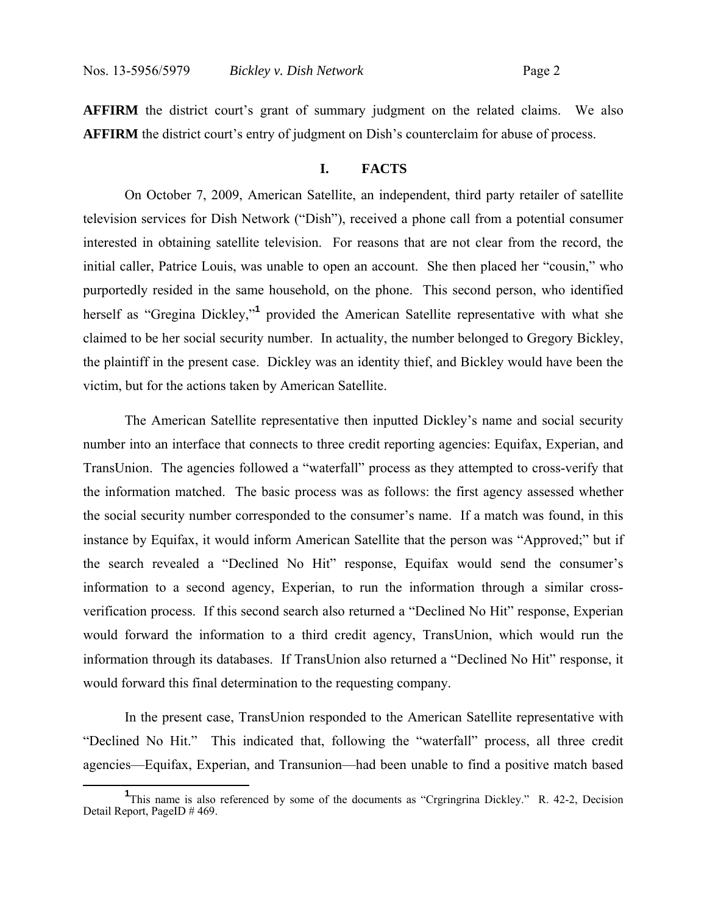**AFFIRM** the district court's grant of summary judgment on the related claims. We also **AFFIRM** the district court's entry of judgment on Dish's counterclaim for abuse of process.

### **I. FACTS**

On October 7, 2009, American Satellite, an independent, third party retailer of satellite television services for Dish Network ("Dish"), received a phone call from a potential consumer interested in obtaining satellite television. For reasons that are not clear from the record, the initial caller, Patrice Louis, was unable to open an account. She then placed her "cousin," who purportedly resided in the same household, on the phone. This second person, who identified herself as "Gregina Dickley,"**<sup>1</sup>** provided the American Satellite representative with what she claimed to be her social security number. In actuality, the number belonged to Gregory Bickley, the plaintiff in the present case. Dickley was an identity thief, and Bickley would have been the victim, but for the actions taken by American Satellite.

The American Satellite representative then inputted Dickley's name and social security number into an interface that connects to three credit reporting agencies: Equifax, Experian, and TransUnion. The agencies followed a "waterfall" process as they attempted to cross-verify that the information matched. The basic process was as follows: the first agency assessed whether the social security number corresponded to the consumer's name. If a match was found, in this instance by Equifax, it would inform American Satellite that the person was "Approved;" but if the search revealed a "Declined No Hit" response, Equifax would send the consumer's information to a second agency, Experian, to run the information through a similar crossverification process. If this second search also returned a "Declined No Hit" response, Experian would forward the information to a third credit agency, TransUnion, which would run the information through its databases. If TransUnion also returned a "Declined No Hit" response, it would forward this final determination to the requesting company.

In the present case, TransUnion responded to the American Satellite representative with "Declined No Hit." This indicated that, following the "waterfall" process, all three credit agencies—Equifax, Experian, and Transunion—had been unable to find a positive match based

**<sup>1</sup>** <sup>1</sup>This name is also referenced by some of the documents as "Crgringrina Dickley." R. 42-2, Decision Detail Report, PageID # 469.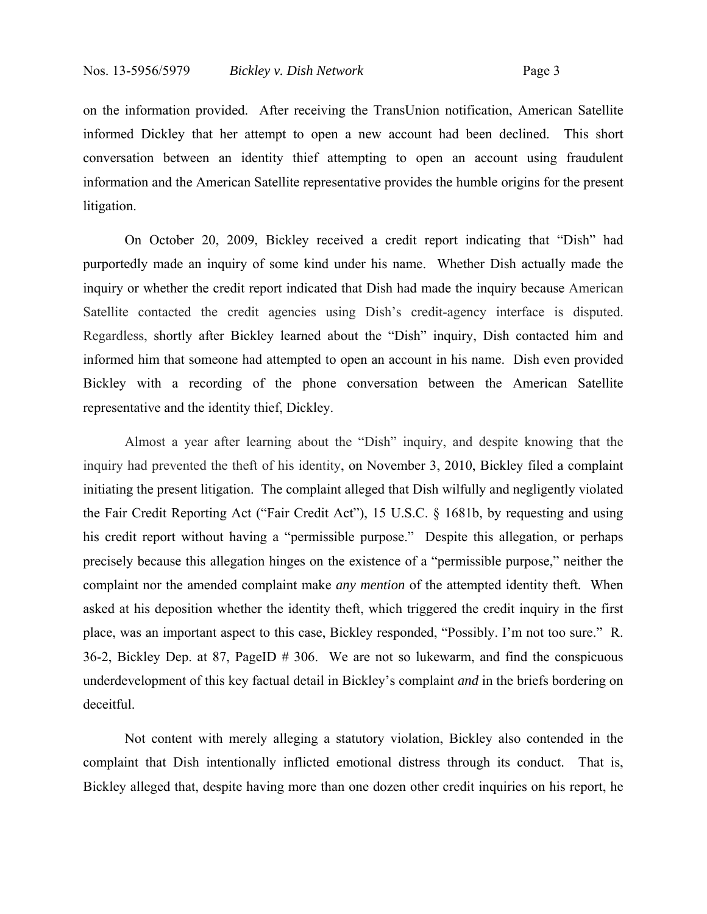on the information provided. After receiving the TransUnion notification, American Satellite informed Dickley that her attempt to open a new account had been declined. This short conversation between an identity thief attempting to open an account using fraudulent information and the American Satellite representative provides the humble origins for the present litigation.

On October 20, 2009, Bickley received a credit report indicating that "Dish" had purportedly made an inquiry of some kind under his name. Whether Dish actually made the inquiry or whether the credit report indicated that Dish had made the inquiry because American Satellite contacted the credit agencies using Dish's credit-agency interface is disputed. Regardless, shortly after Bickley learned about the "Dish" inquiry, Dish contacted him and informed him that someone had attempted to open an account in his name. Dish even provided Bickley with a recording of the phone conversation between the American Satellite representative and the identity thief, Dickley.

Almost a year after learning about the "Dish" inquiry, and despite knowing that the inquiry had prevented the theft of his identity, on November 3, 2010, Bickley filed a complaint initiating the present litigation. The complaint alleged that Dish wilfully and negligently violated the Fair Credit Reporting Act ("Fair Credit Act"), 15 U.S.C. § 1681b, by requesting and using his credit report without having a "permissible purpose." Despite this allegation, or perhaps precisely because this allegation hinges on the existence of a "permissible purpose," neither the complaint nor the amended complaint make *any mention* of the attempted identity theft*.* When asked at his deposition whether the identity theft, which triggered the credit inquiry in the first place, was an important aspect to this case, Bickley responded, "Possibly. I'm not too sure." R. 36-2, Bickley Dep. at 87, PageID # 306. We are not so lukewarm, and find the conspicuous underdevelopment of this key factual detail in Bickley's complaint *and* in the briefs bordering on deceitful.

Not content with merely alleging a statutory violation, Bickley also contended in the complaint that Dish intentionally inflicted emotional distress through its conduct. That is, Bickley alleged that, despite having more than one dozen other credit inquiries on his report, he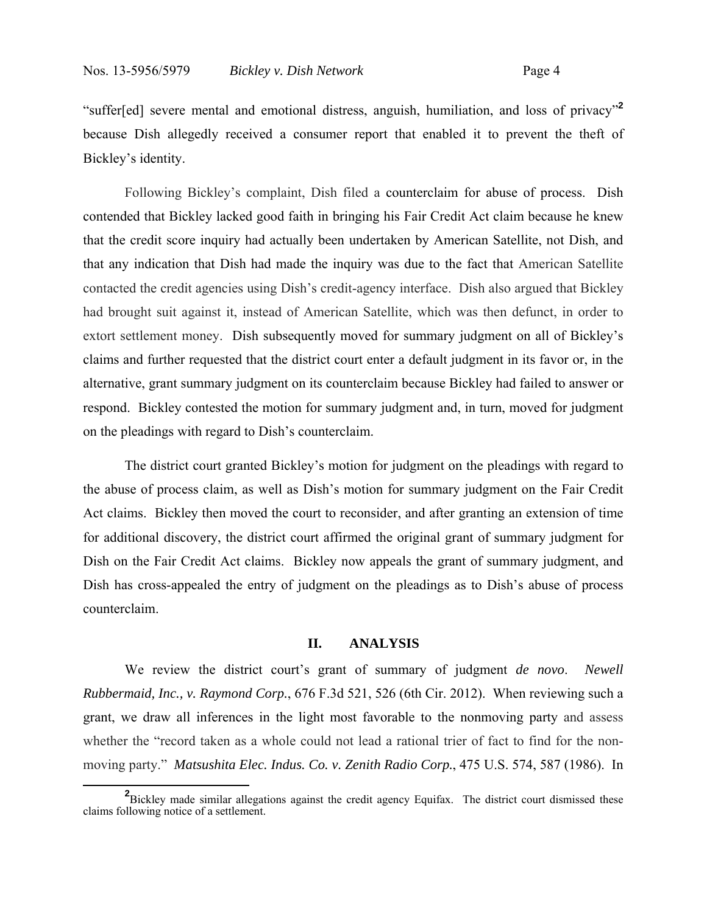"suffer[ed] severe mental and emotional distress, anguish, humiliation, and loss of privacy"**<sup>2</sup>** because Dish allegedly received a consumer report that enabled it to prevent the theft of Bickley's identity.

Following Bickley's complaint, Dish filed a counterclaim for abuse of process. Dish contended that Bickley lacked good faith in bringing his Fair Credit Act claim because he knew that the credit score inquiry had actually been undertaken by American Satellite, not Dish, and that any indication that Dish had made the inquiry was due to the fact that American Satellite contacted the credit agencies using Dish's credit-agency interface. Dish also argued that Bickley had brought suit against it, instead of American Satellite, which was then defunct, in order to extort settlement money. Dish subsequently moved for summary judgment on all of Bickley's claims and further requested that the district court enter a default judgment in its favor or, in the alternative, grant summary judgment on its counterclaim because Bickley had failed to answer or respond. Bickley contested the motion for summary judgment and, in turn, moved for judgment on the pleadings with regard to Dish's counterclaim.

The district court granted Bickley's motion for judgment on the pleadings with regard to the abuse of process claim, as well as Dish's motion for summary judgment on the Fair Credit Act claims. Bickley then moved the court to reconsider, and after granting an extension of time for additional discovery, the district court affirmed the original grant of summary judgment for Dish on the Fair Credit Act claims. Bickley now appeals the grant of summary judgment, and Dish has cross-appealed the entry of judgment on the pleadings as to Dish's abuse of process counterclaim.

## **II. ANALYSIS**

We review the district court's grant of summary of judgment *de novo*. *Newell Rubbermaid, Inc., v. Raymond Corp.*, 676 F.3d 521, 526 (6th Cir. 2012). When reviewing such a grant, we draw all inferences in the light most favorable to the nonmoving party and assess whether the "record taken as a whole could not lead a rational trier of fact to find for the nonmoving party." *Matsushita Elec. Indus. Co. v. Zenith Radio Corp.*, 475 U.S. 574, 587 (1986). In

**<sup>2</sup>** <sup>2</sup>Bickley made similar allegations against the credit agency Equifax. The district court dismissed these claims following notice of a settlement.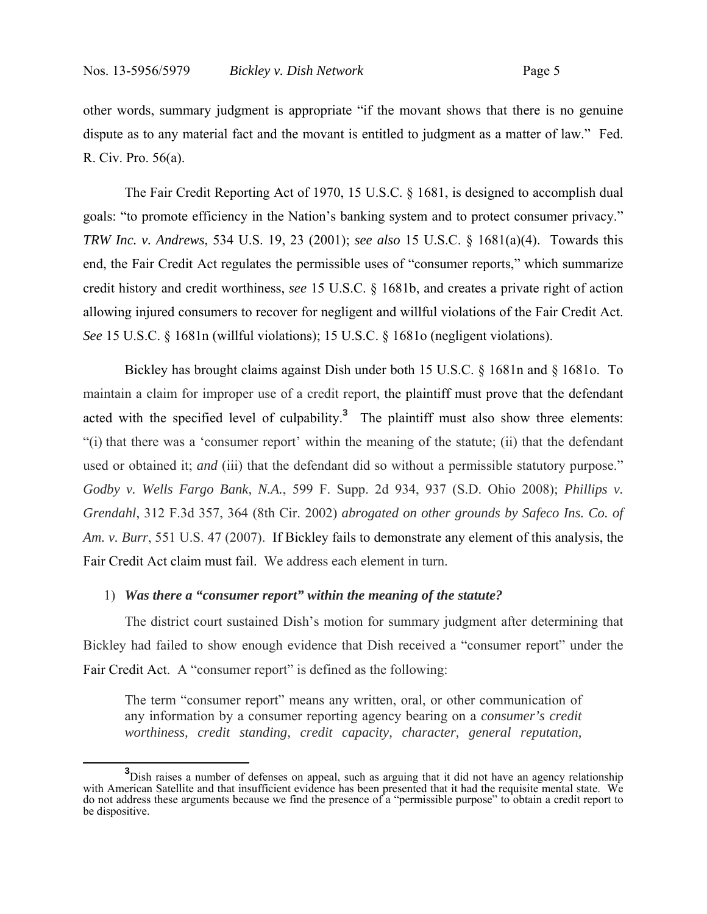other words, summary judgment is appropriate "if the movant shows that there is no genuine dispute as to any material fact and the movant is entitled to judgment as a matter of law." Fed. R. Civ. Pro. 56(a).

The Fair Credit Reporting Act of 1970, 15 U.S.C. § 1681, is designed to accomplish dual goals: "to promote efficiency in the Nation's banking system and to protect consumer privacy." *TRW Inc. v. Andrews*, 534 U.S. 19, 23 (2001); *see also* 15 U.S.C. § 1681(a)(4). Towards this end, the Fair Credit Act regulates the permissible uses of "consumer reports," which summarize credit history and credit worthiness, *see* 15 U.S.C. § 1681b, and creates a private right of action allowing injured consumers to recover for negligent and willful violations of the Fair Credit Act. *See* 15 U.S.C. § 1681n (willful violations); 15 U.S.C. § 1681o (negligent violations).

Bickley has brought claims against Dish under both 15 U.S.C. § 1681n and § 1681o. To maintain a claim for improper use of a credit report, the plaintiff must prove that the defendant acted with the specified level of culpability.**<sup>3</sup>** The plaintiff must also show three elements: "(i) that there was a 'consumer report' within the meaning of the statute; (ii) that the defendant used or obtained it; *and* (iii) that the defendant did so without a permissible statutory purpose." *Godby v. Wells Fargo Bank, N.A.*, 599 F. Supp. 2d 934, 937 (S.D. Ohio 2008); *Phillips v. Grendahl*, 312 F.3d 357, 364 (8th Cir. 2002) *abrogated on other grounds by Safeco Ins. Co. of Am. v. Burr*, 551 U.S. 47 (2007). If Bickley fails to demonstrate any element of this analysis, the Fair Credit Act claim must fail. We address each element in turn.

### 1) *Was there a "consumer report" within the meaning of the statute?*

The district court sustained Dish's motion for summary judgment after determining that Bickley had failed to show enough evidence that Dish received a "consumer report" under the Fair Credit Act. A "consumer report" is defined as the following:

The term "consumer report" means any written, oral, or other communication of any information by a consumer reporting agency bearing on a *consumer's credit worthiness, credit standing, credit capacity, character, general reputation,* 

**<sup>3</sup>** <sup>3</sup>Dish raises a number of defenses on appeal, such as arguing that it did not have an agency relationship with American Satellite and that insufficient evidence has been presented that it had the requisite mental state. We do not address these arguments because we find the presence of a "permissible purpose" to obtain a credit report to be dispositive.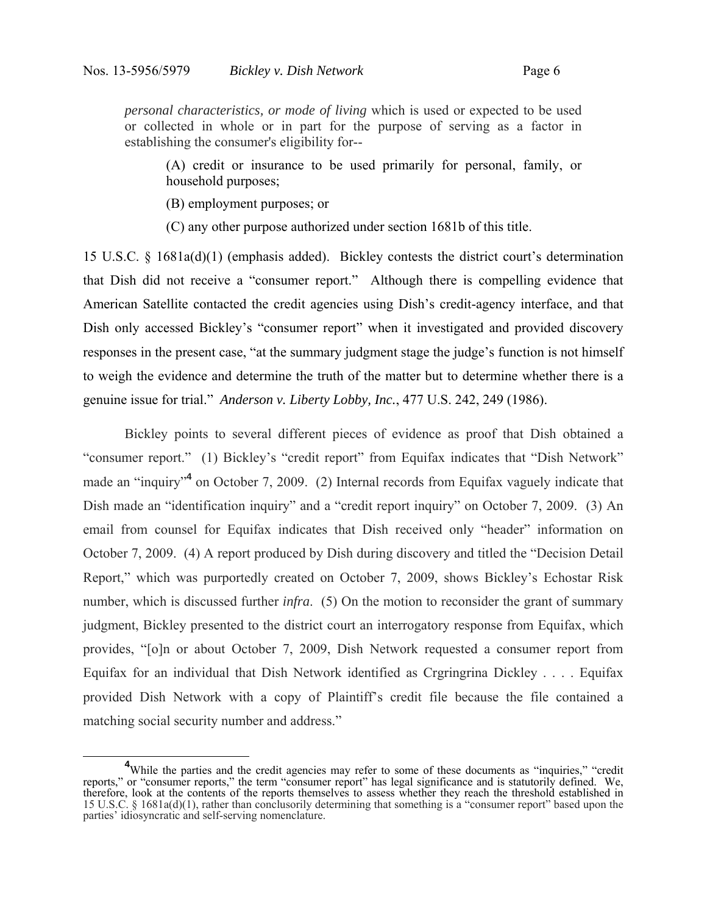*personal characteristics, or mode of living* which is used or expected to be used or collected in whole or in part for the purpose of serving as a factor in establishing the consumer's eligibility for--

(A) credit or insurance to be used primarily for personal, family, or household purposes;

(B) employment purposes; or

(C) any other purpose authorized under section 1681b of this title.

15 U.S.C. § 1681a(d)(1) (emphasis added). Bickley contests the district court's determination that Dish did not receive a "consumer report." Although there is compelling evidence that American Satellite contacted the credit agencies using Dish's credit-agency interface, and that Dish only accessed Bickley's "consumer report" when it investigated and provided discovery responses in the present case, "at the summary judgment stage the judge's function is not himself to weigh the evidence and determine the truth of the matter but to determine whether there is a genuine issue for trial." *Anderson v. Liberty Lobby, Inc.*, 477 U.S. 242, 249 (1986).

Bickley points to several different pieces of evidence as proof that Dish obtained a "consumer report." (1) Bickley's "credit report" from Equifax indicates that "Dish Network" made an "inquiry"<sup>4</sup> on October 7, 2009. (2) Internal records from Equifax vaguely indicate that Dish made an "identification inquiry" and a "credit report inquiry" on October 7, 2009. (3) An email from counsel for Equifax indicates that Dish received only "header" information on October 7, 2009. (4) A report produced by Dish during discovery and titled the "Decision Detail Report," which was purportedly created on October 7, 2009, shows Bickley's Echostar Risk number, which is discussed further *infra*. (5) On the motion to reconsider the grant of summary judgment, Bickley presented to the district court an interrogatory response from Equifax, which provides, "[o]n or about October 7, 2009, Dish Network requested a consumer report from Equifax for an individual that Dish Network identified as Crgringrina Dickley . . . . Equifax provided Dish Network with a copy of Plaintiff's credit file because the file contained a matching social security number and address."

**<sup>4</sup>** <sup>4</sup>While the parties and the credit agencies may refer to some of these documents as "inquiries," "credit" reports," or "consumer reports," the term "consumer report" has legal significance and is statutorily defined. We, therefore, look at the contents of the reports themselves to assess whether they reach the threshold established in 15 U.S.C. § 1681a(d)(1), rather than conclusorily determining that something is a "consumer report" based upon the parties' idiosyncratic and self-serving nomenclature.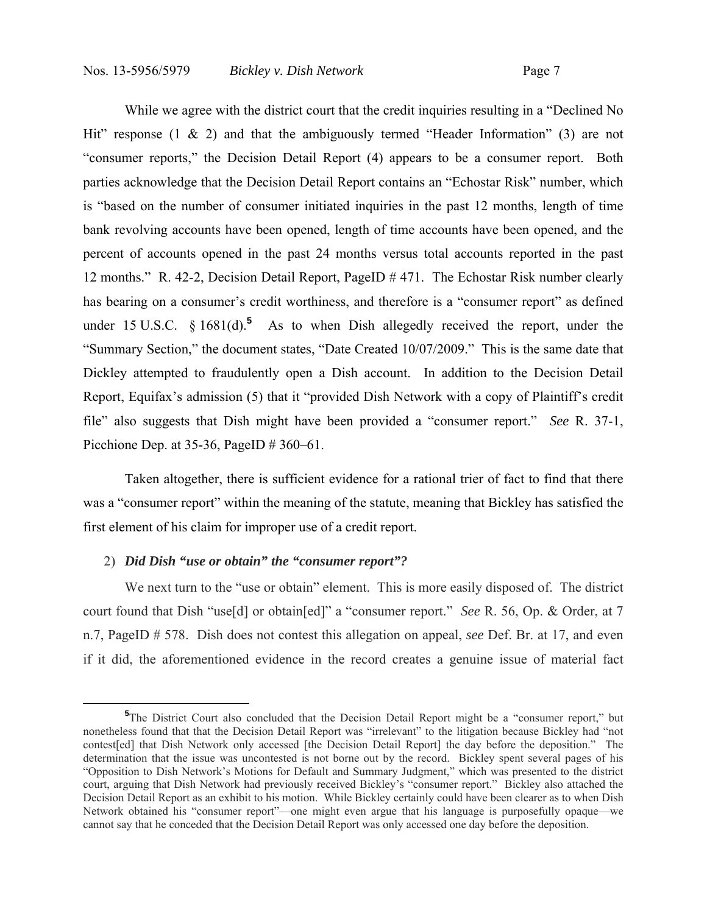While we agree with the district court that the credit inquiries resulting in a "Declined No Hit" response  $(1 \& 2)$  and that the ambiguously termed "Header Information"  $(3)$  are not "consumer reports," the Decision Detail Report (4) appears to be a consumer report. Both parties acknowledge that the Decision Detail Report contains an "Echostar Risk" number, which is "based on the number of consumer initiated inquiries in the past 12 months, length of time bank revolving accounts have been opened, length of time accounts have been opened, and the percent of accounts opened in the past 24 months versus total accounts reported in the past 12 months." R. 42-2, Decision Detail Report, PageID # 471. The Echostar Risk number clearly has bearing on a consumer's credit worthiness, and therefore is a "consumer report" as defined under 15 U.S.C.  $\S$  1681(d).<sup>5</sup> As to when Dish allegedly received the report, under the "Summary Section," the document states, "Date Created 10/07/2009." This is the same date that Dickley attempted to fraudulently open a Dish account. In addition to the Decision Detail Report, Equifax's admission (5) that it "provided Dish Network with a copy of Plaintiff's credit file" also suggests that Dish might have been provided a "consumer report." *See* R. 37-1, Picchione Dep. at 35-36, PageID # 360–61.

Taken altogether, there is sufficient evidence for a rational trier of fact to find that there was a "consumer report" within the meaning of the statute, meaning that Bickley has satisfied the first element of his claim for improper use of a credit report.

## 2) *Did Dish "use or obtain" the "consumer report"?*

 $\overline{a}$ 

We next turn to the "use or obtain" element. This is more easily disposed of. The district court found that Dish "use[d] or obtain[ed]" a "consumer report." *See* R. 56, Op. & Order, at 7 n.7, PageID # 578. Dish does not contest this allegation on appeal, *see* Def. Br. at 17, and even if it did, the aforementioned evidence in the record creates a genuine issue of material fact

<sup>&</sup>lt;sup>5</sup>The District Court also concluded that the Decision Detail Report might be a "consumer report," but nonetheless found that that the Decision Detail Report was "irrelevant" to the litigation because Bickley had "not contest[ed] that Dish Network only accessed [the Decision Detail Report] the day before the deposition." The determination that the issue was uncontested is not borne out by the record. Bickley spent several pages of his "Opposition to Dish Network's Motions for Default and Summary Judgment," which was presented to the district court, arguing that Dish Network had previously received Bickley's "consumer report." Bickley also attached the Decision Detail Report as an exhibit to his motion. While Bickley certainly could have been clearer as to when Dish Network obtained his "consumer report"—one might even argue that his language is purposefully opaque—we cannot say that he conceded that the Decision Detail Report was only accessed one day before the deposition.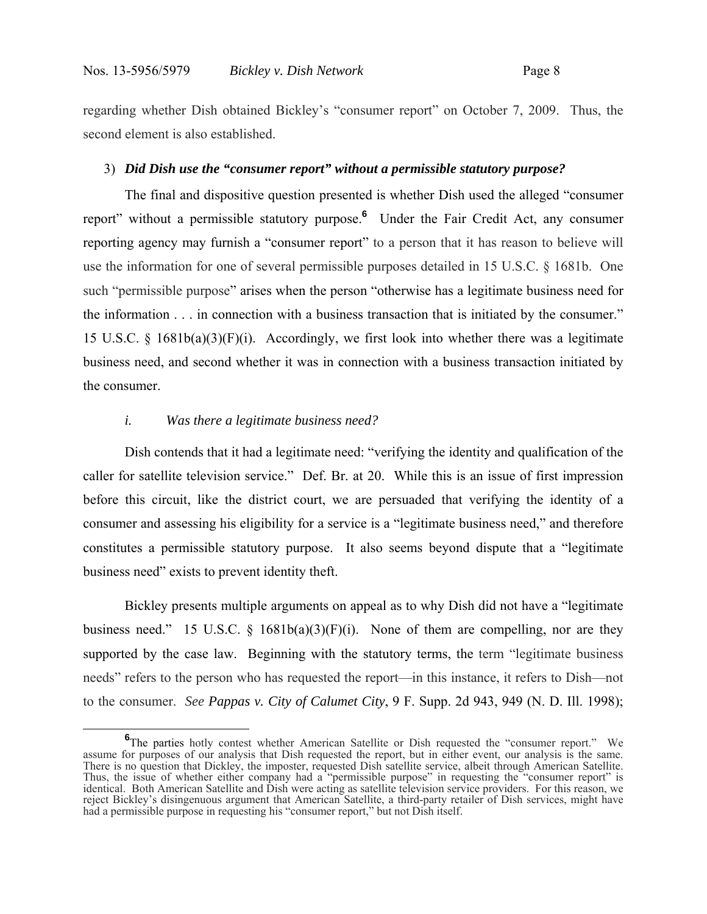regarding whether Dish obtained Bickley's "consumer report" on October 7, 2009. Thus, the second element is also established.

### 3) *Did Dish use the "consumer report" without a permissible statutory purpose?*

The final and dispositive question presented is whether Dish used the alleged "consumer report" without a permissible statutory purpose.**<sup>6</sup>** Under the Fair Credit Act, any consumer reporting agency may furnish a "consumer report" to a person that it has reason to believe will use the information for one of several permissible purposes detailed in 15 U.S.C. § 1681b. One such "permissible purpose" arises when the person "otherwise has a legitimate business need for the information . . . in connection with a business transaction that is initiated by the consumer." 15 U.S.C. § 1681b(a)(3)(F)(i). Accordingly, we first look into whether there was a legitimate business need, and second whether it was in connection with a business transaction initiated by the consumer.

## *i. Was there a legitimate business need?*

Dish contends that it had a legitimate need: "verifying the identity and qualification of the caller for satellite television service." Def. Br. at 20. While this is an issue of first impression before this circuit, like the district court, we are persuaded that verifying the identity of a consumer and assessing his eligibility for a service is a "legitimate business need," and therefore constitutes a permissible statutory purpose. It also seems beyond dispute that a "legitimate business need" exists to prevent identity theft.

Bickley presents multiple arguments on appeal as to why Dish did not have a "legitimate business need." 15 U.S.C.  $\S$  1681b(a)(3)(F)(i). None of them are compelling, nor are they supported by the case law. Beginning with the statutory terms, the term "legitimate business" needs" refers to the person who has requested the report—in this instance, it refers to Dish—not to the consumer. *See Pappas v. City of Calumet City*, 9 F. Supp. 2d 943, 949 (N. D. Ill. 1998);

**<sup>6</sup>** The parties hotly contest whether American Satellite or Dish requested the "consumer report." We assume for purposes of our analysis that Dish requested the report, but in either event, our analysis is the same. There is no question that Dickley, the imposter, requested Dish satellite service, albeit through American Satellite. Thus, the issue of whether either company had a "permissible purpose" in requesting the "consumer report" is identical. Both American Satellite and Dish were acting as satellite television service providers. For this reason, we reject Bickley's disingenuous argument that American Satellite, a third-party retailer of Dish services, might have had a permissible purpose in requesting his "consumer report," but not Dish itself.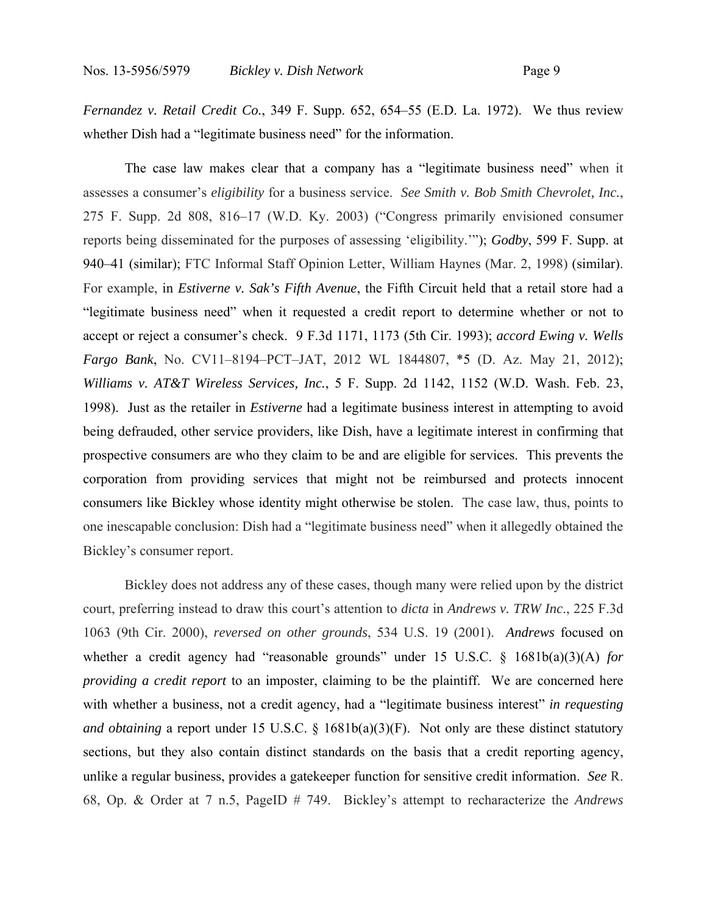*Fernandez v. Retail Credit Co.*, 349 F. Supp. 652, 654–55 (E.D. La. 1972). We thus review whether Dish had a "legitimate business need" for the information.

The case law makes clear that a company has a "legitimate business need" when it assesses a consumer's *eligibility* for a business service. *See Smith v. Bob Smith Chevrolet, Inc.*, 275 F. Supp. 2d 808, 816–17 (W.D. Ky. 2003) ("Congress primarily envisioned consumer reports being disseminated for the purposes of assessing 'eligibility.'"); *Godby*, 599 F. Supp. at 940–41 (similar); FTC Informal Staff Opinion Letter, William Haynes (Mar. 2, 1998) (similar). For example, in *Estiverne v. Sak's Fifth Avenue*, the Fifth Circuit held that a retail store had a "legitimate business need" when it requested a credit report to determine whether or not to accept or reject a consumer's check. 9 F.3d 1171, 1173 (5th Cir. 1993); *accord Ewing v. Wells Fargo Bank*, No. CV11–8194–PCT–JAT, 2012 WL 1844807, \*5 (D. Az. May 21, 2012); *Williams v. AT&T Wireless Services, Inc.*, 5 F. Supp. 2d 1142, 1152 (W.D. Wash. Feb. 23, 1998). Just as the retailer in *Estiverne* had a legitimate business interest in attempting to avoid being defrauded, other service providers, like Dish, have a legitimate interest in confirming that prospective consumers are who they claim to be and are eligible for services. This prevents the corporation from providing services that might not be reimbursed and protects innocent consumers like Bickley whose identity might otherwise be stolen. The case law, thus, points to one inescapable conclusion: Dish had a "legitimate business need" when it allegedly obtained the Bickley's consumer report.

Bickley does not address any of these cases, though many were relied upon by the district court, preferring instead to draw this court's attention to *dicta* in *Andrews v. TRW Inc*., 225 F.3d 1063 (9th Cir. 2000), *reversed on other grounds*, 534 U.S. 19 (2001). *Andrews* focused on whether a credit agency had "reasonable grounds" under 15 U.S.C. § 1681b(a)(3)(A) *for providing a credit report* to an imposter, claiming to be the plaintiff. We are concerned here with whether a business, not a credit agency, had a "legitimate business interest" *in requesting and obtaining* a report under 15 U.S.C. § 1681b(a)(3)(F). Not only are these distinct statutory sections, but they also contain distinct standards on the basis that a credit reporting agency, unlike a regular business, provides a gatekeeper function for sensitive credit information. *See* R. 68, Op. & Order at 7 n.5, PageID # 749. Bickley's attempt to recharacterize the *Andrews*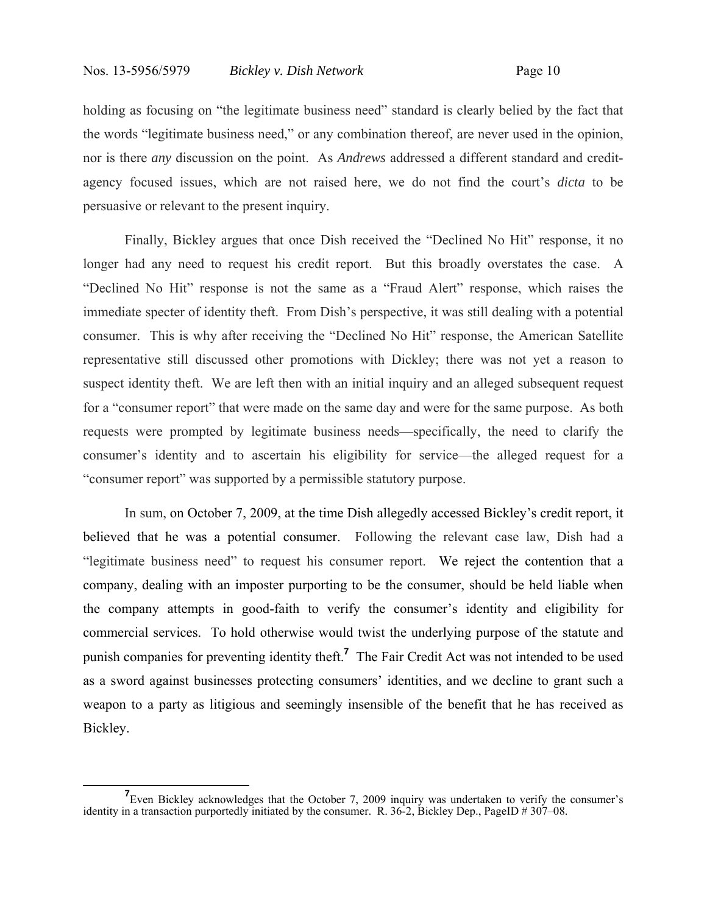holding as focusing on "the legitimate business need" standard is clearly belied by the fact that the words "legitimate business need," or any combination thereof, are never used in the opinion, nor is there *any* discussion on the point. As *Andrews* addressed a different standard and creditagency focused issues, which are not raised here, we do not find the court's *dicta* to be persuasive or relevant to the present inquiry.

Finally, Bickley argues that once Dish received the "Declined No Hit" response, it no longer had any need to request his credit report. But this broadly overstates the case. A "Declined No Hit" response is not the same as a "Fraud Alert" response, which raises the immediate specter of identity theft. From Dish's perspective, it was still dealing with a potential consumer. This is why after receiving the "Declined No Hit" response, the American Satellite representative still discussed other promotions with Dickley; there was not yet a reason to suspect identity theft. We are left then with an initial inquiry and an alleged subsequent request for a "consumer report" that were made on the same day and were for the same purpose. As both requests were prompted by legitimate business needs—specifically, the need to clarify the consumer's identity and to ascertain his eligibility for service—the alleged request for a "consumer report" was supported by a permissible statutory purpose.

In sum, on October 7, 2009, at the time Dish allegedly accessed Bickley's credit report, it believed that he was a potential consumer. Following the relevant case law, Dish had a "legitimate business need" to request his consumer report. We reject the contention that a company, dealing with an imposter purporting to be the consumer, should be held liable when the company attempts in good-faith to verify the consumer's identity and eligibility for commercial services. To hold otherwise would twist the underlying purpose of the statute and punish companies for preventing identity theft.**<sup>7</sup>** The Fair Credit Act was not intended to be used as a sword against businesses protecting consumers' identities, and we decline to grant such a weapon to a party as litigious and seemingly insensible of the benefit that he has received as Bickley.

<sup>&</sup>lt;sup>7</sup> Even Bickley acknowledges that the October 7, 2009 inquiry was undertaken to verify the consumer's identity in a transaction purportedly initiated by the consumer. R. 36-2, Bickley Dep., PageID # 307–08.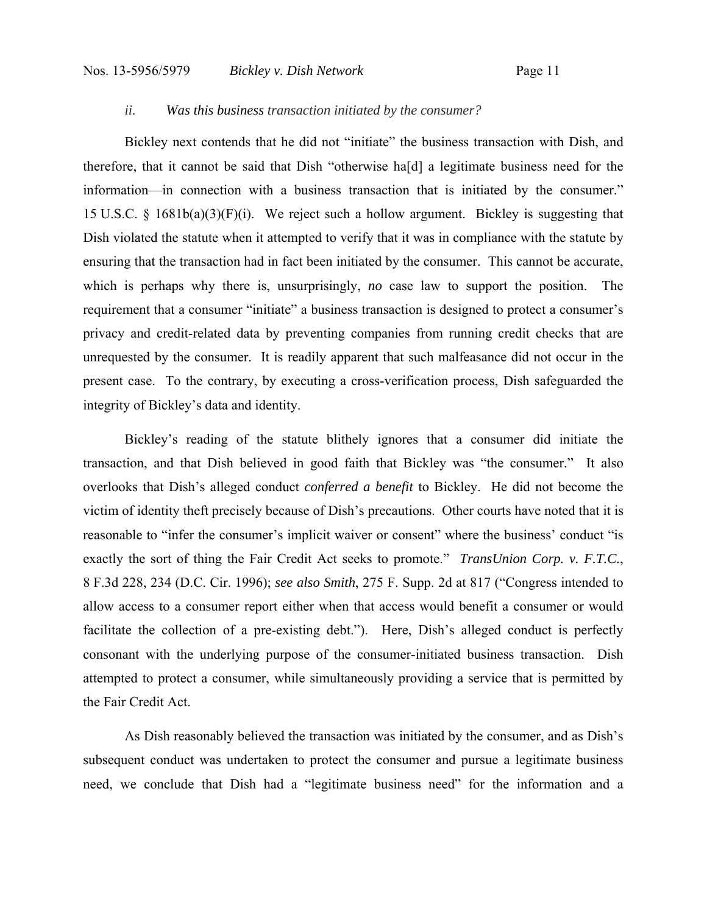## *ii. Was this business transaction initiated by the consumer?*

Bickley next contends that he did not "initiate" the business transaction with Dish, and therefore, that it cannot be said that Dish "otherwise ha[d] a legitimate business need for the information—in connection with a business transaction that is initiated by the consumer." 15 U.S.C. § 1681b(a)(3)(F)(i). We reject such a hollow argument. Bickley is suggesting that Dish violated the statute when it attempted to verify that it was in compliance with the statute by ensuring that the transaction had in fact been initiated by the consumer. This cannot be accurate, which is perhaps why there is, unsurprisingly, *no* case law to support the position. The requirement that a consumer "initiate" a business transaction is designed to protect a consumer's privacy and credit-related data by preventing companies from running credit checks that are unrequested by the consumer. It is readily apparent that such malfeasance did not occur in the present case. To the contrary, by executing a cross-verification process, Dish safeguarded the integrity of Bickley's data and identity.

Bickley's reading of the statute blithely ignores that a consumer did initiate the transaction, and that Dish believed in good faith that Bickley was "the consumer." It also overlooks that Dish's alleged conduct *conferred a benefit* to Bickley. He did not become the victim of identity theft precisely because of Dish's precautions. Other courts have noted that it is reasonable to "infer the consumer's implicit waiver or consent" where the business' conduct "is exactly the sort of thing the Fair Credit Act seeks to promote." *TransUnion Corp. v. F.T.C.*, 8 F.3d 228, 234 (D.C. Cir. 1996); *see also Smith*, 275 F. Supp. 2d at 817 ("Congress intended to allow access to a consumer report either when that access would benefit a consumer or would facilitate the collection of a pre-existing debt."). Here, Dish's alleged conduct is perfectly consonant with the underlying purpose of the consumer-initiated business transaction. Dish attempted to protect a consumer, while simultaneously providing a service that is permitted by the Fair Credit Act.

As Dish reasonably believed the transaction was initiated by the consumer, and as Dish's subsequent conduct was undertaken to protect the consumer and pursue a legitimate business need, we conclude that Dish had a "legitimate business need" for the information and a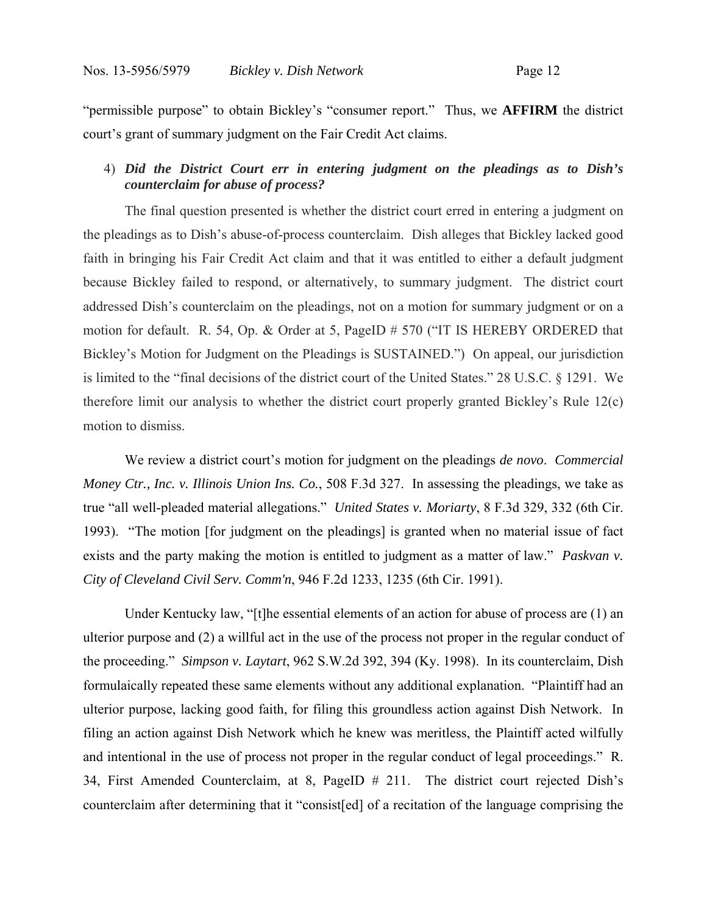"permissible purpose" to obtain Bickley's "consumer report." Thus, we **AFFIRM** the district court's grant of summary judgment on the Fair Credit Act claims.

## 4) *Did the District Court err in entering judgment on the pleadings as to Dish's counterclaim for abuse of process?*

The final question presented is whether the district court erred in entering a judgment on the pleadings as to Dish's abuse-of-process counterclaim. Dish alleges that Bickley lacked good faith in bringing his Fair Credit Act claim and that it was entitled to either a default judgment because Bickley failed to respond, or alternatively, to summary judgment. The district court addressed Dish's counterclaim on the pleadings, not on a motion for summary judgment or on a motion for default. R. 54, Op. & Order at 5, PageID # 570 ("IT IS HEREBY ORDERED that Bickley's Motion for Judgment on the Pleadings is SUSTAINED.") On appeal, our jurisdiction is limited to the "final decisions of the district court of the United States." 28 U.S.C. § 1291. We therefore limit our analysis to whether the district court properly granted Bickley's Rule 12(c) motion to dismiss.

We review a district court's motion for judgment on the pleadings *de novo*. *Commercial Money Ctr., Inc. v. Illinois Union Ins. Co.*, 508 F.3d 327. In assessing the pleadings, we take as true "all well-pleaded material allegations." *United States v. Moriarty*, 8 F.3d 329, 332 (6th Cir. 1993). "The motion [for judgment on the pleadings] is granted when no material issue of fact exists and the party making the motion is entitled to judgment as a matter of law." *Paskvan v. City of Cleveland Civil Serv. Comm'n*, 946 F.2d 1233, 1235 (6th Cir. 1991).

Under Kentucky law, "[t]he essential elements of an action for abuse of process are (1) an ulterior purpose and (2) a willful act in the use of the process not proper in the regular conduct of the proceeding." *Simpson v. Laytart*, 962 S.W.2d 392, 394 (Ky. 1998). In its counterclaim, Dish formulaically repeated these same elements without any additional explanation. "Plaintiff had an ulterior purpose, lacking good faith, for filing this groundless action against Dish Network. In filing an action against Dish Network which he knew was meritless, the Plaintiff acted wilfully and intentional in the use of process not proper in the regular conduct of legal proceedings." R. 34, First Amended Counterclaim, at 8, PageID # 211. The district court rejected Dish's counterclaim after determining that it "consist[ed] of a recitation of the language comprising the